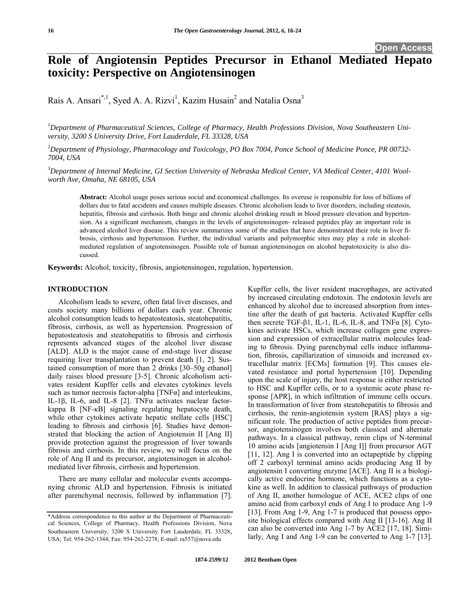**Open Access** 

# **Role of Angiotensin Peptides Precursor in Ethanol Mediated Hepato toxicity: Perspective on Angiotensinogen**

Rais A. Ansari<sup>\*,1</sup>, Syed A. A. Rizvi<sup>1</sup>, Kazim Husain<sup>2</sup> and Natalia Osna<sup>3</sup>

*1 Department of Pharmaceutical Sciences, College of Pharmacy, Health Professions Division, Nova Southeastern University, 3200 S University Drive, Fort Lauderdale, FL 33328, USA* 

*2 Department of Physiology, Pharmacology and Toxicology, PO Box 7004, Ponce School of Medicine Ponce, PR 00732- 7004, USA* 

*3 Department of Internal Medicine, GI Section University of Nebraska Medical Center, VA Medical Center, 4101 Woolworth Ave, Omaha, NE 68105, USA* 

**Abstract:** Alcohol usage poses serious social and economical challenges. Its overuse is responsible for loss of billions of dollars due to fatal accidents and causes multiple diseases. Chronic alcoholism leads to liver disorders, including steatosis, hepatitis, fibrosis and cirrhosis. Both binge and chronic alcohol drinking result in blood pressure elevation and hypertension. As a significant mechanism, changes in the levels of angiotensinogen- released peptides play an important role in advanced alcohol liver disease. This review summarizes some of the studies that have demonstrated their role in liver fibrosis, cirrhosis and hypertension. Further, the individual variants and polymorphic sites may play a role in alcoholmediated regulation of angiotensinogen. Possible role of human angiotensinogen on alcohol hepatotoxicity is also discussed.

**Keywords:** Alcohol, toxicity, fibrosis, angiotensinogen, regulation, hypertension.

# **INTRODUCTION**

 Alcoholism leads to severe, often fatal liver diseases, and costs society many billions of dollars each year. Chronic alcohol consumption leads to hepatosteatosis, steatohepatitis, fibrosis, cirrhosis, as well as hypertension. Progression of hepatosteatosis and steatohepatitis to fibrosis and cirrhosis represents advanced stages of the alcohol liver disease [ALD]. ALD is the major cause of end-stage liver disease requiring liver transplantation to prevent death [1, 2]. Sustained consumption of more than 2 drinks [30–50g ethanol] daily raises blood pressure [3-5]. Chronic alcoholism activates resident Kupffer cells and elevates cytokines levels such as tumor necrosis factor-alpha  $[TNF\alpha]$  and interleukins, IL-1β, IL-6, and IL-8 [2]. TNFα activates nuclear factorkappa B [NF-κB] signaling regulating hepatocyte death, while other cytokines activate hepatic stellate cells [HSC] leading to fibrosis and cirrhosis [6]. Studies have demonstrated that blocking the action of Angiotensin II [Ang II] provide protection against the progression of liver towards fibrosis and cirrhosis. In this review, we will focus on the role of Ang II and its precursor, angiotensinogen in alcoholmediated liver fibrosis, cirrhosis and hypertension.

 There are many cellular and molecular events accompanying chronic ALD and hypertension. Fibrosis is initiated after parenchymal necrosis, followed by inflammation [7]. Kupffer cells, the liver resident macrophages, are activated by increased circulating endotoxin. The endotoxin levels are enhanced by alcohol due to increased absorption from intestine after the death of gut bacteria. Activated Kupffer cells then secrete TGF-β1, IL-1, IL-6, IL-8, and TNF $α$  [8]. Cytokines activate HSCs, which increase collagen gene expression and expression of extracellular matrix molecules leading to fibrosis. Dying parenchymal cells induce inflammation, fibrosis, capillarization of sinusoids and increased extracellular matrix [ECMs] formation [9]. This causes elevated resistance and portal hypertension [10]. Depending upon the scale of injury, the host response is either restricted to HSC and Kupffer cells, or to a systemic acute phase response [APR], in which infiltration of immune cells occurs. In transformation of liver from steatohepatitis to fibrosis and cirrhosis, the renin-angiotensin system [RAS] plays a significant role. The production of active peptides from precursor, angiotensinogen involves both classical and alternate pathways. In a classical pathway, renin clips of N-terminal 10 amino acids [angiotensin I [Ang I]] from precursor AGT [11, 12]. Ang I is converted into an octapeptide by clipping off 2 carboxyl terminal amino acids producing Ang II by angiotensin I converting enzyme [ACE]. Ang II is a biologically active endocrine hormone, which functions as a cytokine as well. In addition to classical pathways of production of Ang II, another homologue of ACE, ACE2 clips of one amino acid from carboxyl ends of Ang I to produce Ang 1-9 [13]. From Ang 1-9, Ang 1-7 is produced that possess opposite biological effects compared with Ang II [13-16]. Ang II can also be converted into Ang 1-7 by ACE2 [17, 18]. Similarly, Ang I and Ang 1-9 can be converted to Ang 1-7 [13].

<sup>\*</sup>Address correspondence to this author at the Department of Pharmaceutical Sciences, College of Pharmacy, Health Professions Division, Nova Southeastern University, 3200 S University Fort Lauderdale, FL 33328, USA; Tel: 954-262-1344; Fax: 954-262-2278; E-mail: ra557@nova.edu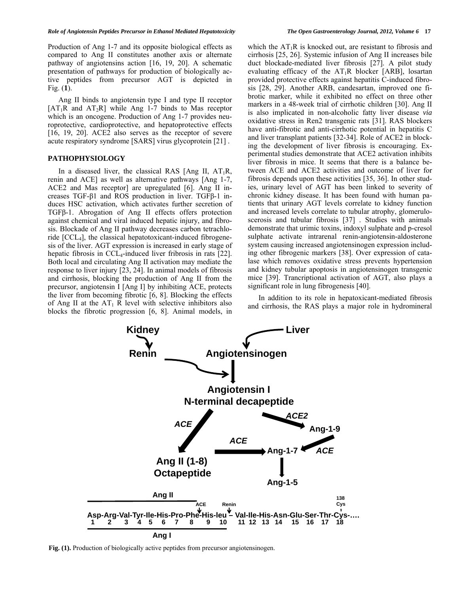Production of Ang 1-7 and its opposite biological effects as compared to Ang II constitutes another axis or alternate pathway of angiotensins action [16, 19, 20]. A schematic presentation of pathways for production of biologically active peptides from precursor AGT is depicted in Fig. (**1**).

 Ang II binds to angiotensin type I and type II receptor  $[AT_1R$  and  $AT_2R]$  while Ang 1-7 binds to Mas receptor which is an oncogene. Production of Ang 1-7 provides neuroprotective, cardioprotective, and hepatoprotective effects [16, 19, 20]. ACE2 also serves as the receptor of severe acute respiratory syndrome [SARS] virus glycoprotein [21] .

#### **PATHOPHYSIOLOGY**

In a diseased liver, the classical RAS [Ang II,  $AT_1R$ , renin and ACE] as well as alternative pathways [Ang 1-7, ACE2 and Mas receptor] are upregulated [6]. Ang II increases TGF-β1 and ROS production in liver. TGFβ-1 induces HSC activation, which activates further secretion of TGFβ-1. Abrogation of Ang II effects offers protection against chemical and viral induced hepatic injury, and fibrosis. Blockade of Ang II pathway decreases carbon tetrachloride  $[CL_4]$ , the classical hepatotoxicant-induced fibrogenesis of the liver. AGT expression is increased in early stage of hepatic fibrosis in CCL<sub>4</sub>-induced liver fribrosis in rats [22]. Both local and circulating Ang II activation may mediate the response to liver injury [23, 24]. In animal models of fibrosis and cirrhosis, blocking the production of Ang II from the precursor, angiotensin I [Ang I] by inhibiting ACE, protects the liver from becoming fibrotic [6, 8]. Blocking the effects of Ang II at the  $AT_1$  R level with selective inhibitors also blocks the fibrotic progression [6, 8]. Animal models, in

which the  $AT_1R$  is knocked out, are resistant to fibrosis and cirrhosis [25, 26]. Systemic infusion of Ang II increases bile duct blockade-mediated liver fibrosis [27]. A pilot study evaluating efficacy of the  $AT_1R$  blocker [ARB], losartan provided protective effects against hepatitis C-induced fibrosis [28, 29]. Another ARB, candesartan, improved one fibrotic marker, while it exhibited no effect on three other markers in a 48-week trial of cirrhotic children [30]. Ang II is also implicated in non-alcoholic fatty liver disease *via* oxidative stress in Ren2 transgenic rats [31]. RAS blockers have anti-fibrotic and anti-cirrhotic potential in hepatitis C and liver transplant patients [32-34]. Role of ACE2 in blocking the development of liver fibrosis is encouraging. Experimental studies demonstrate that ACE2 activation inhibits liver fibrosis in mice. It seems that there is a balance between ACE and ACE2 activities and outcome of liver for fibrosis depends upon these activities [35, 36]. In other studies, urinary level of AGT has been linked to severity of chronic kidney disease. It has been found with human patients that urinary AGT levels correlate to kidney function and increased levels correlate to tubular atrophy, glomeruloscerosis and tubular fibrosis [37] . Studies with animals demonstrate that urimic toxins, indoxyl sulphate and p-cresol sulphate activate intrarenal renin-angiotensin-aldosterone system causing increased angiotensinogen expression including other fibrogenic markers [38]. Over expression of catalase which removes oxidative stress prevents hypertension and kidney tubular apoptosis in angiotensinogen transgenic mice [39]. Trancriptional activation of AGT, also plays a significant role in lung fibrogenesis [40].

In addition to its role in hepatoxicant-mediated fibrosis and cirrhosis, the RAS plays a major role in hydromineral



**Fig. (1).** Production of biologically active peptides from precursor angiotensinogen.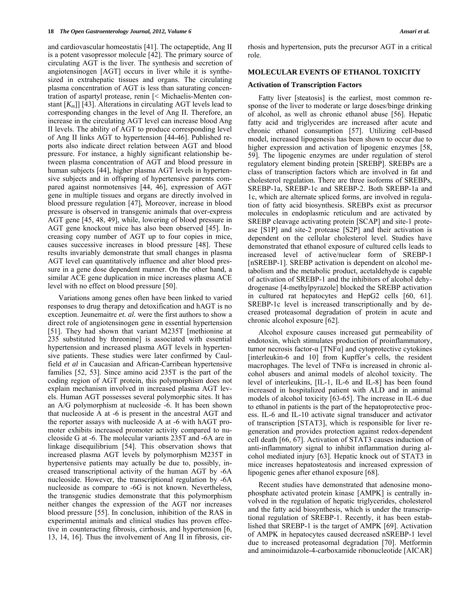and cardiovascular homeostatis [41]. The octapeptide, Ang II is a potent vasopressor molecule [42]. The primary source of circulating AGT is the liver. The synthesis and secretion of angiotensinogen [AGT] occurs in liver while it is synthesized in extrahepatic tissues and organs. The circulating plasma concentration of AGT is less than saturating concentration of aspartyl protease, renin [< Michaelis-Menten constant [*Km*]] [43]. Alterations in circulating AGT levels lead to corresponding changes in the level of Ang II. Therefore, an increase in the circulating AGT level can increase blood Ang II levels. The ability of AGT to produce corresponding level of Ang II links AGT to hypertension [44-46]. Published reports also indicate direct relation between AGT and blood pressure. For instance, a highly significant relationship between plasma concentration of AGT and blood pressure in human subjects [44], higher plasma AGT levels in hypertensive subjects and in offspring of hypertensive parents compared against normotensives [44, 46], expression of AGT gene in multiple tissues and organs are directly involved in blood pressure regulation [47], Moreover, increase in blood pressure is observed in transgenic animals that over-express AGT gene [45, 48, 49], while, lowering of blood pressure in AGT gene knockout mice has also been observed [45]. Increasing copy number of AGT up to four copies in mice, causes successive increases in blood pressure [48]. These results invariably demonstrate that small changes in plasma AGT level can quantitatively influence and alter blood pressure in a gene dose dependent manner. On the other hand, a similar ACE gene duplication in mice increases plasma ACE level with no effect on blood pressure [50].

 Variations among genes often have been linked to varied responses to drug therapy and detoxification and hAGT is no exception. Jeunemaitre *et. al.* were the first authors to show a direct role of angiotensinogen gene in essential hypertension [51]. They had shown that variant M235T [methionine at 235 substituted by threonine] is associated with essential hypertension and increased plasma AGT levels in hypertensive patients. These studies were later confirmed by Caulfield *et al* in Caucasian and African-Carribean hypertensive families [52, 53]. Since amino acid 235T is the part of the coding region of AGT protein, this polymorphism does not explain mechanism involved in increased plasma AGT levels. Human AGT possesses several polymorphic sites. It has an A/G polymorphism at nucleoside -6. It has been shown that nucleoside A at -6 is present in the ancestral AGT and the reporter assays with nucleoside A at -6 with hAGT promoter exhibits increased promoter activity compared to nucleoside G at -6. The molecular variants 235T and -6A are in linkage disequilibrium [54]. This observation shows that increased plasma AGT levels by polymorphism M235T in hypertensive patients may actually be due to, possibly, increased transcriptional activity of the human AGT by -6A nucleoside. However, the transcriptional regulation by -6A nucleoside as compare to -6G is not known. Nevertheless, the transgenic studies demonstrate that this polymorphism neither changes the expression of the AGT nor increases blood pressure [55]. In conclusion, inhibition of the RAS in experimental animals and clinical studies has proven effective in counteracting fibrosis, cirrhosis, and hypertension [6, 13, 14, 16]. Thus the involvement of Ang II in fibrosis, cirrhosis and hypertension, puts the precursor AGT in a critical role.

# **MOLECULAR EVENTS OF ETHANOL TOXICITY**

# **Activation of Transcription Factors**

 Fatty liver [steatosis] is the earliest, most common response of the liver to moderate or large doses/binge drinking of alcohol, as well as chronic ethanol abuse [56]. Hepatic fatty acid and triglycerides are increased after acute and chronic ethanol consumption [57]. Utilizing cell-based model, increased lipogenesis has been shown to occur due to higher expression and activation of lipogenic enzymes [58, 59]. The lipogenic enzymes are under regulation of sterol regulatory element binding protein [SREBP]. SREBPs are a class of transcription factors which are involved in fat and cholesterol regulation. There are three isoforms of SREBPs, SREBP-1a, SREBP-1c and SREBP-2. Both SREBP-1a and 1c, which are alternate spliced forms, are involved in regulation of fatty acid biosynthesis. SREBPs exist as precursor molecules in endoplasmic reticulum and are activated by SREBP cleavage activating protein [SCAP] and site-1 protease [S1P] and site-2 protease [S2P] and their activation is dependent on the cellular cholesterol level. Studies have demonstrated that ethanol exposure of cultured cells leads to increased level of active/nuclear form of SREBP-1 [nSREBP-1]. SREBP activation is dependent on alcohol metabolism and the metabolic product, acetaldehyde is capable of activation of SREBP-1 and the inhibitors of alcohol dehydrogenase [4-methylpyrazole] blocked the SREBP activation in cultured rat hepatocytes and HepG2 cells [60, 61]. SREBP-1c level is increased transcriptionally and by decreased proteasomal degradation of protein in acute and chronic alcohol exposure [62].

 Alcohol exposure causes increased gut permeability of endotoxin, which stimulates production of proinflammatory, tumor necrosis factor-α [TNFα] and cytoprotective cytokines [interleukin-6 and 10] from Kupffer's cells, the resident macrophages. The level of  $TNF\alpha$  is increased in chronic alcohol abusers and animal models of alcohol toxicity. The level of interleukins, [IL-1, IL-6 and IL-8] has been found increased in hospitalized patient with ALD and in animal models of alcohol toxicity [63-65]. The increase in IL-6 due to ethanol in patients is the part of the hepatoprotective process. IL-6 and IL-10 activate signal transducer and activator of transcription [STAT3], which is responsible for liver regeneration and provides protection against redox-dependent cell death [66, 67]. Activation of STAT3 causes induction of anti-inflammatory signal to inhibit inflammation during alcohol mediated injury [63]. Hepatic knock out of STAT3 in mice increases hepatosteatosis and increased expression of lipogenic genes after ethanol exposure [68].

 Recent studies have demonstrated that adenosine monophosphate activated protein kinase [AMPK] is centrally involved in the regulation of hepatic triglycerides, cholesterol and the fatty acid biosynthesis, which is under the transcriptional regulation of SREBP-1. Recently, it has been established that SREBP-1 is the target of AMPK [69]. Activation of AMPK in hepatocytes caused decreased nSREBP-1 level due to increased proteasomal degradation [70]. Metformin and aminoimidazole-4-carboxamide ribonucleotide [AICAR]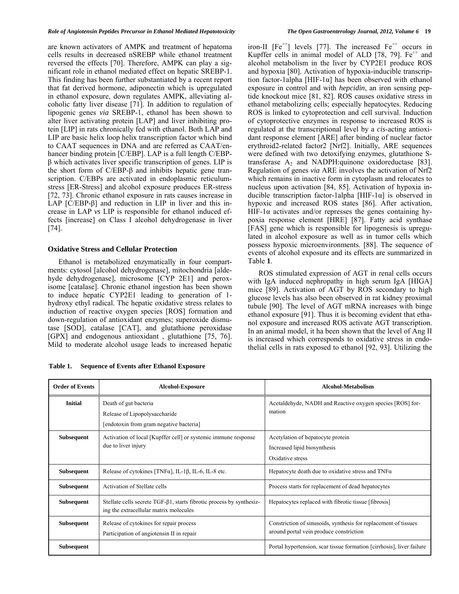are known activators of AMPK and treatment of hepatoma cells results in decreased nSREBP while ethanol treatment reversed the effects [70]. Therefore, AMPK can play a significant role in ethanol mediated effect on hepatic SREBP-1. This finding has been further substantiated by a recent report that fat derived hormone, adiponectin which is upregulated in ethanol exposure, down regulates AMPK, alleviating alcoholic fatty liver disease [71]. In addition to regulation of lipogenic genes *via* SREBP-1, ethanol has been shown to alter liver activating protein [LAP] and liver inhibiting protein [LIP] in rats chronically fed with ethanol. Both LAP and LIP are basic helix loop helix transcription factor which bind to CAAT sequences in DNA and are referred as CAAT/enhancer binding protein [C/EBP]. LAP is a full length C/EBPβ which activates liver specific transcription of genes. LIP is the short form of C/EBP-β and inhibits hepatic gene transcription. C/EBPs are activated in endoplasmic reticulumstress [ER-Stress] and alcohol exposure produces ER-stress [72, 73]. Chronic ethanol exposure in rats causes increase in LAP [C/EBP-β] and reduction in LIP in liver and this increase in LAP *vs* LIP is responsible for ethanol induced effects [increase] on Class I alcohol dehydrogenase in liver [74].

# **Oxidative Stress and Cellular Protection**

 Ethanol is metabolized enzymatically in four compartments: cytosol [alcohol dehydrogenase], mitochondria [aldehyde dehydrogenase], microsome [CYP 2E1] and peroxisome [catalase]. Chronic ethanol ingestion has been shown to induce hepatic CYP2E1 leading to generation of 1 hydroxy ethyl radical. The hepatic oxidative stress relates to induction of reactive oxygen species [ROS] formation and down-regulation of antioxidant enzymes; superoxide dismutase [SOD], catalase [CAT], and glutathione peroxidase [GPX] and endogenous antioxidant, glutathione [75, 76]. Mild to moderate alcohol usage leads to increased hepatic

**Table 1. Sequence of Events after Ethanol Exposure** 

iron-II  $[Fe^{++}]$  levels [77]. The increased  $Fe^{++}$  occurs in Kupffer cells in animal model of ALD  $[78, 79]$ . Fe<sup>++</sup> and alcohol metabolism in the liver by CYP2E1 produce ROS and hypoxia [80]. Activation of hypoxia-inducible transcription factor-1alpha [HIF-1 $\alpha$ ] has been observed with ethanol exposure in control and with *hepcidin*, an iron sensing peptide knockout mice [81, 82]. ROS causes oxidative stress in ethanol metabolizing cells; especially hepatocytes. Reducing ROS is linked to cytoprotection and cell survival. Induction of cytoprotective enzymes in response to increased ROS is regulated at the transcriptional level by a *cis*-acting antioxidant response element [ARE] after binding of nuclear factor erythroid2-related factor2 [Nrf2]. Initially, ARE sequences were defined with two detoxifying enzymes, glutathione Stransferase  $A_2$  and NADPH:quinone oxidoreductase [83]. Regulation of genes *via* ARE involves the activation of Nrf2 which remains in inactive form in cytoplasm and relocates to nucleus upon activation [84, 85]. Activation of hypoxia inducible transcription factor-1alpha [HIF-1α] is observed in hypoxic and increased ROS states [86]. After activation, HIF-1 $\alpha$  activates and/or represses the genes containing hypoxia response element [HRE] [87]. Fatty acid synthase [FAS] gene which is responsible for lipogenesis is upregulated in alcohol exposure as well as in tumor cells which possess hypoxic microenvironments. [88]. The sequence of events of alcohol exposure and its effects are summarized in Table **1**.

ROS stimulated expression of AGT in renal cells occurs with IgA induced nephropathy in high serum IgA [HIGA] mice [89]. Activation of AGT by ROS secondary to high glucose levels has also been observed in rat kidney proximal tubule [90]. The level of AGT mRNA increases with binge ethanol exposure [91]. Thus it is becoming evident that ethanol exposure and increased ROS activate AGT transcription. In an animal model, it ha been shown that the level of Ang II is increased which corresponds to oxidative stress in endothelial cells in rats exposed to ethanol [92, 93]. Utilizing the

| <b>Order of Events</b> | <b>Alcohol-Exposure</b>                                                                                              | <b>Alcohol-Metabolism</b>                                                                                  |
|------------------------|----------------------------------------------------------------------------------------------------------------------|------------------------------------------------------------------------------------------------------------|
| <b>Initial</b>         | Death of gut bacteria<br>Release of Lipopolysaccharide<br>[endotoxin from gram negative bacteria]                    | Acetaldehyde, NADH and Reactive oxygen species [ROS] for-<br>mation                                        |
| <b>Subsequent</b>      | Activation of local [Kupffer cell] or systemic immune response<br>due to liver injury                                | Acetylation of hepatocyte protein<br>Increased lipid biosynthesis<br>Oxidative stress                      |
| <b>Subsequent</b>      | Release of cytokines [TNF $\alpha$ ], IL-1 $\beta$ , IL-6, IL-8 etc.                                                 | Hepatocyte death due to oxidative stress and $TNF\alpha$                                                   |
| <b>Subsequent</b>      | Activation of Stellate cells                                                                                         | Process starts for replacement of dead hepatocytes                                                         |
| <b>Subsequent</b>      | Stellate cells secrete $TGF-\beta1, starts fibrotic process by synthesiz-$<br>ing the extracellular matrix molecules | Hepatocytes replaced with fibrotic tissue [fibrosis]                                                       |
| <b>Subsequent</b>      | Release of cytokines for repair process<br>Participation of angiotensin II in repair                                 | Constriction of sinusoids, synthesis for replacement of tissues<br>around portal vein produce constriction |
| <b>Subsequent</b>      |                                                                                                                      | Portal hypertension, scar tissue formation [cirrhosis], liver failure                                      |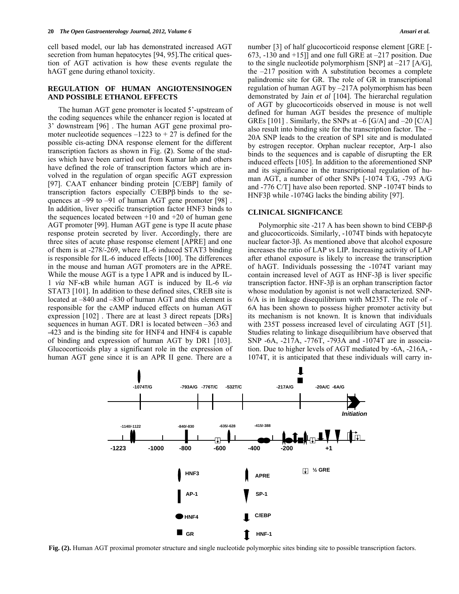cell based model, our lab has demonstrated increased AGT secretion from human hepatocytes [94, 95]*.*The critical question of AGT activation is how these events regulate the hAGT gene during ethanol toxicity.

### **REGULATION OF HUMAN ANGIOTENSINOGEN AND POSSIBLE ETHANOL EFFECTS**

 The human AGT gene promoter is located 5'-upstream of the coding sequences while the enhancer region is located at 3' downstream [96] . The human AGT gene proximal promoter nucleotide sequences  $-1223$  to  $+ 27$  is defined for the possible cis-acting DNA response element for the different transcription factors as shown in Fig. (**2**). Some of the studies which have been carried out from Kumar lab and others have defined the role of transcription factors which are involved in the regulation of organ specific AGT expression [97]. CAAT enhancer binding protein [C/EBP] family of transcription factors especially  $C/EBP\beta$  binds to the sequences at –99 to –91 of human AGT gene promoter [98] . In addition, liver specific transcription factor HNF3 binds to the sequences located between  $+10$  and  $+20$  of human gene AGT promoter [99]. Human AGT gene is type II acute phase response protein secreted by liver. Accordingly, there are three sites of acute phase response element [APRE] and one of them is at -278/-269, where IL-6 induced STAT3 binding is responsible for IL-6 induced effects [100]. The differences in the mouse and human AGT promoters are in the APRE. While the mouse AGT is a type I APR and is induced by IL-1 *via* NF-κB while human AGT is induced by IL-6 *via* STAT3 [101]. In addition to these defined sites, CREB site is located at –840 and –830 of human AGT and this element is responsible for the cAMP induced effects on human AGT expression [102] . There are at least 3 direct repeats [DRs] sequences in human AGT. DR1 is located between –363 and -423 and is the binding site for HNF4 and HNF4 is capable of binding and expression of human AGT by DR1 [103]. Glucocorticoids play a significant role in the expression of human AGT gene since it is an APR II gene. There are a number [3] of half glucocorticoid response element [GRE [- 673,  $-130$  and  $+15$ ] and one full GRE at  $-217$  position. Due to the single nucleotide polymorphism [SNP] at  $-217$  [A/G], the –217 position with A substitution becomes a complete palindromic site for GR. The role of GR in transcriptional regulation of human AGT by –217A polymorphism has been demonstrated by Jain *et al* [104]. The hierarchal regulation of AGT by glucocorticoids observed in mouse is not well defined for human AGT besides the presence of multiple GREs [101]. Similarly, the SNPs at  $-6$  [G/A] and  $-20$  [C/A] also result into binding site for the transcription factor. The – 20A SNP leads to the creation of SP1 site and is modulated by estrogen receptor. Orphan nuclear receptor, Arp-1 also binds to the sequences and is capable of disrupting the ER induced effects [105]. In addition to the aforementioned SNP and its significance in the transcriptional regulation of human AGT, a number of other SNPs [-1074 T/G, -793 A/G and -776 C/T] have also been reported. SNP -1074T binds to HNF3β while -1074G lacks the binding ability [97].

### **CLINICAL SIGNIFICANCE**

 Polymorphic site -217 A has been shown to bind CEBP-β and glucocorticoids. Similarly, -1074T binds with hepatocyte nuclear factor-3β. As mentioned above that alcohol exposure increases the ratio of LAP *vs* LIP. Increasing activity of LAP after ethanol exposure is likely to increase the transcription of hAGT. Individuals possessing the -1074T variant may contain increased level of AGT as HNF-3β is liver specific transcription factor. HNF-3β is an orphan transcription factor whose modulation by agonist is not well characterized. SNP-6/A is in linkage disequilibrium with M235T. The role of - 6A has been shown to possess higher promoter activity but its mechanism is not known. It is known that individuals with 235T possess increased level of circulating AGT [51]. Studies relating to linkage disequilibrium have observed that SNP -6A, -217A, -776T, -793A and -1074T are in association. Due to higher levels of AGT mediated by -6A, -216A, - 1074T, it is anticipated that these individuals will carry in-



**Fig. (2).** Human AGT proximal promoter structure and single nucleotide polymorphic sites binding site to possible transcription factors.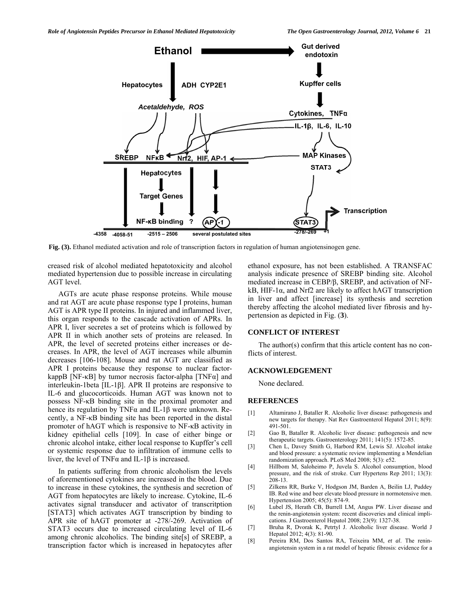

**Fig. (3).** Ethanol mediated activation and role of transcription factors in regulation of human angiotensinogen gene.

creased risk of alcohol mediated hepatotoxicity and alcohol mediated hypertension due to possible increase in circulating AGT level.

 AGTs are acute phase response proteins. While mouse and rat AGT are acute phase response type I proteins, human AGT is APR type II proteins. In injured and inflammed liver, this organ responds to the cascade activation of APRs. In APR I, liver secretes a set of proteins which is followed by APR II in which another sets of proteins are released. In APR, the level of secreted proteins either increases or decreases. In APR, the level of AGT increases while albumin decreases [106-108]. Mouse and rat AGT are classified as APR I proteins because they response to nuclear factorkappB [NF- $\kappa$ B] by tumor necrosis factor-alpha [TNF $\alpha$ ] and interleukin-1beta [IL-1β]. APR II proteins are responsive to IL-6 and glucocorticoids. Human AGT was known not to possess NF-κB binding site in the proximal promoter and hence its regulation by TNFα and IL-1β were unknown. Recently, a NF-κB binding site has been reported in the distal promoter of hAGT which is responsive to NF-κB activity in kidney epithelial cells [109]. In case of either binge or chronic alcohol intake, either local response to Kupffer's cell or systemic response due to infiltration of immune cells to liver, the level of TNFα and IL-1β is increased.

 In patients suffering from chronic alcoholism the levels of aforementioned cytokines are increased in the blood. Due to increase in these cytokines, the synthesis and secretion of AGT from hepatocytes are likely to increase. Cytokine, IL-6 activates signal transducer and activator of transcritption [STAT3] which activates AGT transcription by binding to APR site of hAGT promoter at -278/-269. Activation of STAT3 occurs due to increased circulating level of IL-6 among chronic alcoholics. The binding site[s] of SREBP, a transcription factor which is increased in hepatocytes after

ethanol exposure, has not been established. A TRANSFAC analysis indicate presence of SREBP binding site. Alcohol mediated increase in CEBP/β, SREBP, and activation of NFkB, HIF-1 $\alpha$ , and Nrf2 are likely to affect hAGT transcription in liver and affect [increase] its synthesis and secretion thereby affecting the alcohol mediated liver fibrosis and hypertension as depicted in Fig. (**3**).

#### **CONFLICT OF INTEREST**

 The author(s) confirm that this article content has no conflicts of interest.

#### **ACKNOWLEDGEMENT**

None declared.

#### **REFERENCES**

- [1] Altamirano J, Bataller R. Alcoholic liver disease: pathogenesis and new targets for therapy. Nat Rev Gastroenterol Hepatol 2011; 8(9): 491-501.
- [2] Gao B, Bataller R. Alcoholic liver disease: pathogenesis and new therapeutic targets. Gastroenterology 2011; 141(5): 1572-85.
- [3] Chen L, Davey Smith G, Harbord RM, Lewis SJ. Alcohol intake and blood pressure: a systematic review implementing a Mendelian randomization approach. PLoS Med 2008; 5(3): e52.
- [4] Hillbom M, Saloheimo P, Juvela S. Alcohol consumption, blood pressure, and the risk of stroke. Curr Hypertens Rep 2011; 13(3): 208-13.
- [5] Zilkens RR, Burke V, Hodgson JM, Barden A, Beilin LJ, Puddey IB. Red wine and beer elevate blood pressure in normotensive men. Hypertension 2005; 45(5): 874-9.
- [6] Lubel JS, Herath CB, Burrell LM, Angus PW. Liver disease and the renin-angiotensin system: recent discoveries and clinical implications. J Gastroenterol Hepatol 2008; 23(9): 1327-38.
- [7] Bruha R, Dvorak K, Petrtyl J. Alcoholic liver disease. World J Hepatol 2012; 4(3): 81-90.
- [8] Pereira RM, Dos Santos RA, Teixeira MM, *et al*. The reninangiotensin system in a rat model of hepatic fibrosis: evidence for a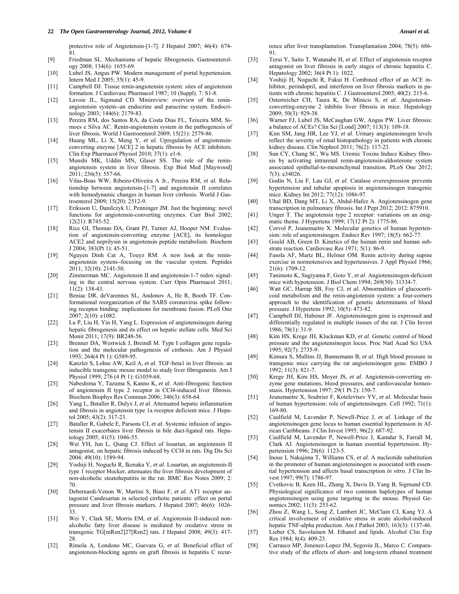#### **22**  *The Open Gastroenterology Journal, 2012, Volume 6 Ansari et al. Ansari et al. Ansari et al. Ansari et al.*

protective role of Angiotensin-[1-7]. J Hepatol 2007; 46(4): 674- 81.

- [9] Friedman SL. Mechanisms of hepatic fibrogenesis. Gastroenterology 2008; 134(6): 1655-69.
- [10] Lubel JS, Angus PW. Modern management of portal hypertension. Intern Med J 2005; 35(1): 45-9.
- [11] Campbell DJ. Tissue renin-angiotensin system: sites of angiotensin formation. J Cardiovasc Pharmacol 1987; 10 (Suppl). 7: S1-8.
- [12] Lavoie JL, Sigmund CD. Minireview: overview of the reninangiotensin system--an endocrine and paracrine system. Endocrinology 2003; 144(6): 2179-83.
- [13] Pereira RM, dos Santos RA, da Costa Dias FL, Teixeira MM, Simoes e Silva AC. Renin-angiotensin system in the pathogenesis of liver fibrosis. World J Gastroenterol 2009; 15(21): 2579-86.
- [14] Huang ML, Li X, Meng Y, *et al*. Upregulation of angiotensinconverting enzyme [ACE] 2 in hepatic fibrosis by ACE inhibitors. Clin Exp Pharmacol Physiol 2010; 37(1): e1-6.
- [15] Munshi MK, Uddin MN, Glaser SS. The role of the reninangiotensin system in liver fibrosis. Exp Biol Med [Maywood] 2011; 236(5): 557-66.
- [16] Vilas-Boas WW, Ribeiro-Oliveira A Jr., Pereira RM, *et al.* Relationship between angiotensin-[1-7] and angiotensin II correlates with hemodynamic changes in human liver cirrhosis. World J Gastroenterol 2009; 15(20): 2512-9.
- [17] Eriksson U, Danilczyk U, Penninger JM. Just the beginning: novel functions for angiotensin-converting enzymes. Curr Biol 2002; 12(21): R745-52.
- [18] Rice GI, Thomas DA, Grant PJ, Turner AJ, Hooper NM. Evaluation of angiotensin-converting enzyme [ACE], its homologue ACE2 and neprilysin in angiotensin peptide metabolism. Biochem J 2004; 383(Pt 1): 45-51.
- [19] Nguyen Dinh Cat A, Touyz RM. A new look at the reninangiotensin system--focusing on the vascular system. Peptides 2011; 32(10): 2141-50.
- [20] Zimmerman MC. Angiotensin II and angiotensin-1-7 redox signaling in the central nervous system. Curr Opin Pharmacol 2011; 11(2): 138-43.
- [21] Beniac DR, deVarennes SL, Andonov A, He R, Booth TF. Conformational reorganization of the SARS coronavirus spike following receptor binding: implications for membrane fusion. PLoS One 2007; 2(10): e1082.
- [22] Lu P, Liu H, Yin H, Yang L. Expression of angiotensinogen during hepatic fibrogenesis and its effect on hepatic stellate cells. Med Sci Monit 2011; 17(9): BR248-56.
- [23] Brenner DA, Westwick J, Breindl M. Type I collagen gene regulation and the molecular pathogenesis of cirrhosis. Am J Physiol 1993; 264(4 Pt 1): G589-95.
- [24] Kanzler S, Lohse AW, Keil A, *et al.* TGF-beta1 in liver fibrosis: an inducible transgenic mouse model to study liver fibrogenesis. Am J Physiol 1999; 276 (4 Pt 1): G1059-68.
- [25] Nabeshima Y, Tazuma S, Kanno K, *et al*. Anti-fibrogenic function of angiotensin II type 2 receptor in CCl4-induced liver fibrosis. Biochem Biophys Res Commun 2006; 346(3): 658-64.
- [26] Yang L, Bataller R, Dulyx J, *et al*. Attenuated hepatic inflammation and fibrosis in angiotensin type 1a receptor deficient mice. J Hepatol 2005; 43(2): 317-23.
- [27] Bataller R, Gabele E, Parsons CJ, *et al*. Systemic infusion of angiotensin II exacerbates liver fibrosis in bile duct-ligated rats. Hepatology 2005; 41(5): 1046-55.
- [28] Wei YH, Jun L, Qiang CJ. Effect of losartan, an angiotensin II antagonist, on hepatic fibrosis induced by CCl4 in rats. Dig Dis Sci 2004; 49(10): 1589-94.
- [29] Yoshiji H, Noguchi R, Ikenaka Y, *et al*. Losartan, an angiotensin-II type 1 receptor blocker, attenuates the liver fibrosis development of non-alcoholic steatohepatitis in the rat. BMC Res Notes 2009; 2: 70.
- [30] Debernardi-Venon W, Martini S, Biasi F, *et al*. AT1 receptor antagonist Candesartan in selected cirrhotic patients: effect on portal pressure and liver fibrosis markers. J Hepatol 2007; 46(6): 1026- 33.
- [31] Wei Y, Clark SE, Morris EM, *et al*. Angiotensin II-induced nonalcoholic fatty liver disease is mediated by oxidative stress in transgenic TG[mRen2]27[Ren2] rats. J Hepatol 2008; 49(3): 417- 28.
- [32] Rimola A, Londono MC, Guevara G, *et al*. Beneficial effect of angiotensin-blocking agents on graft fibrosis in hepatitis C recur-

rence after liver transplantation. Transplantation 2004; 78(5): 686- 91.

- [33] Terui Y, Saito T, Watanabe H, *et al*. Effect of angiotensin receptor antagonist on liver fibrosis in early stages of chronic hepatitis C. Hepatology 2002; 36(4 Pt 1): 1022.
- [34] Yoshiji H, Noguchi R, Fukui H. Combined effect of an ACE inhibitor, perindopril, and interferon on liver fibrosis markers in patients with chronic hepatitis C. J Gastroenterol 2005; 40(2): 215-6.
- [35] Osterreicher CH, Taura K, De Minicis S, *et al*. Angiotensinconverting-enzyme 2 inhibits liver fibrosis in mice. Hepatology 2009; 50(3): 929-38.
- [36] Warner FJ, Lubel JS, McCaughan GW, Angus PW. Liver fibrosis: a balance of ACEs? Clin Sci [Lond] 2007; 113(3): 109-18.
- [37] Kim SM, Jang HR, Lee YJ, *et al*. Urinary angiotensinogen levels reflect the severity of renal histopathology in patients with chronic kidney disease. Clin Nephrol 2011; 76(2): 117-23.
- [38] Sun CY, Chang SC, Wu MS. Uremic Toxins Induce Kidney fibrosis by activating intrarenal renin-angiotensin-aldosterone system associated epithelial-to-mesenchymal transition. PLoS One 2012; 7(3): e34026.
- [39] Godin N, Liu F, Lau GJ, *et al*. Catalase overexpression prevents hypertension and tubular apoptosis in angiotensinogen transgenic mice. Kidney Int 2012; 77(12): 1086-97.
- [40] Uhal BD, Dang MT, Li X, Abdul-Hafez A. Angiotensinogen gene transcription in pulmonary fibrosis. Int J Pept 2012; 2012: 875910.
- [41] Unger T. The angiotensin type 2 receptor: variations on an enigmatic theme. J Hypertens 1999; 17(12 Pt 2): 1775-86.
- [42] Corvol P, Jeunemaitre X. Molecular genetics of human hypertension: role of angiotensinogen. Endocr Rev 1997; 18(5): 662-77.
- [43] Gould AB, Green D. Kinetics of the human renin and human substrate reaction. Cardiovasc Res 1971; 5(1): 86-9.
- [44] Fasola AF, Martz BL, Helmer OM. Renin activity during supine exercise in normotensives and hypertensives. J Appl Physiol 1966; 21(6): 1709-12.
- [45] Tanimoto K, Sugiyama F, Goto Y, *et al*. Angiotensinogen-deficient mice with hypotension. J Biol Chem 1994; 269(50): 31334-7.
- [46] Watt GC, Harrap SB, Foy CJ, et al. Abnormalities of glucocorticoid metabolism and the renin-angiotensin system: a four-corners approach to the identification of genetic determinants of blood pressure. J Hypertens 1992; 10(5): 473-82.
- [47] Campbell DJ, Habener JF. Angiotensinogen gene is expressed and differentially regulated in multiple tissues of the rat. J Clin Invest 1986; 78(1): 31-9.
- [48] Kim HS, Krege JH, Kluckman KD, *et al*. Genetic control of blood pressure and the angiotensinogen locus. Proc Natl Acad Sci USA 1995; 92(7): 2735-9.
- [49] Kimura S, Mullins JJ, Bunnemann B, *et al*. High blood pressure in transgenic mice carrying the rat angiotensinogen gene. EMBO J 1992; 11(3): 821-7.
- [50] Krege JH, Kim HS, Moyer JS, *et al*. Angiotensin-converting enzyme gene mutations, blood pressures, and cardiovascular homeostasis. Hypertension 1997; 29(1 Pt 2): 150-7.
- [51] Jeunemaitre X, Soubrier F, Kotelevtsev YV, *et al*. Molecular basis of human hypertension: role of angiotensinogen. Cell 1992; 71(1): 169-80.
- [52] Caulfield M, Lavender P, Newell-Price J, *et al*. Linkage of the angiotensinogen gene locus to human essential hypertension in African Caribbeans. J Clin Invest 1995; 96(2): 687-92.
- [53] Caulfield M, Lavender P, Newell-Price J, Kamdar S, Farrall M, Clark AJ. Angiotensinogen in human essential hypertension. Hypertension 1996; 28(6): 1123-5.
- [54] Inoue I, Nakajima T, Williams CS, *et al*. A nucleotide substitution in the promoter of human angiotensinogen is associated with essential hypertension and affects basal transcription *in vitro*. J Clin Invest 1997; 99(7): 1786-97.
- [55] Cvetkovic B, Keen HL, Zhang X, Davis D, Yang B, Sigmund CD. Physiological significance of two common haplotypes of human angiotensinogen using gene targeting in the mouse. Physiol Genomics 2002; 11(3): 253-62.
- [56] Zhou Z, Wang L, Song Z, Lambert JC, McClain CJ, Kang YJ. A critical involvement of oxidative stress in acute alcohol-induced hepatic TNF-alpha production. Am J Pathol 2003; 163(3): 1137-46.
- [57] Lieber CS, Savolainen M. Ethanol and lipids. Alcohol Clin Exp Res 1984; 8(4): 409-23.
- [58] Carrasco MP, Jimenez-Lopez JM, Sego*via* JL, Marco C. Comparative study of the effects of short- and long-term ethanol treatment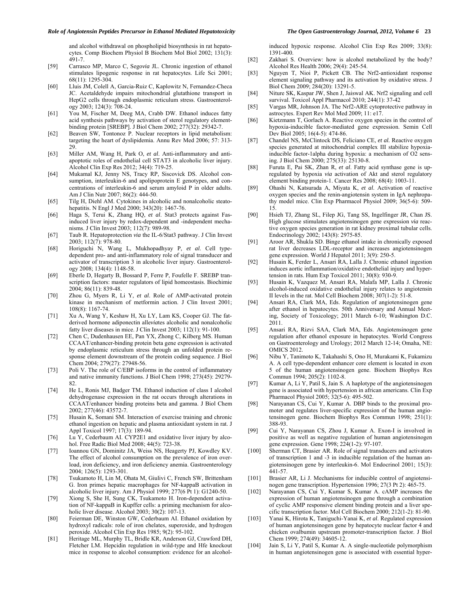#### *Role of Angiotensin Peptides Precursor in Ethanol Mediated Hepatotoxicity The Open Gastroenterology Journal, 2012, Volume 6* **23**

and alcohol withdrawal on phospholipid biosynthesis in rat hepatocytes. Comp Biochem Physiol B Biochem Mol Biol 2002; 131(3): 491-7.

- [59] Carrasco MP, Marco C, Sego*via* JL. Chronic ingestion of ethanol stimulates lipogenic response in rat hepatocytes. Life Sci 2001; 68(11): 1295-304.
- [60] Lluis JM, Colell A, Garcia-Ruiz C, Kaplowitz N, Fernandez-Checa JC. Acetaldehyde impairs mitochondrial glutathione transport in HepG2 cells through endoplasmic reticulum stress. Gastroenterology 2003; 124(3): 708-24.
- [61] You M, Fischer M, Deeg MA, Crabb DW. Ethanol induces fatty acid synthesis pathways by activation of sterol regulatory elementbinding protein [SREBP]. J Biol Chem 2002; 277(32): 29342-7.
- [62] Beaven SW, Tontonoz P. Nuclear receptors in lipid metabolism: targeting the heart of dyslipidemia. Annu Rev Med 2006; 57: 313- 29.
- [63] Miller AM, Wang H, Park O, *et al*. Anti-inflammatory and antiapoptotic roles of endothelial cell STAT3 in alcoholic liver injury. Alcohol Clin Exp Res 2012; 34(4): 719-25.
- [64] Mukamal KJ, Jenny NS, Tracy RP, Siscovick DS. Alcohol consumption, interleukin-6 and apolipoprotein E genotypes, and concentrations of interleukin-6 and serum amyloid P in older adults. Am J Clin Nutr 2007; 86(2): 444-50.
- [65] Tilg H, Diehl AM. Cytokines in alcoholic and nonalcoholic steatohepatitis. N Engl J Med 2000; 343(20): 1467-76.
- [66] Haga S, Terui K, Zhang HQ, *et al*. Stat3 protects against Fasinduced liver injury by redox-dependent and -independent mechanisms. J Clin Invest 2003; 112(7): 989-98.
- [67] Taub R. Hepatoprotection *via* the IL-6/Stat3 pathway. J Clin Invest 2003; 112(7): 978-80.
- [68] Horiguchi N, Wang L, Mukhopadhyay P, *et al*. Cell typedependent pro- and anti-inflammatory role of signal transducer and activator of transcription 3 in alcoholic liver injury. Gastroenterology 2008; 134(4): 1148-58.
- [69] Eberle D, Hegarty B, Bossard P, Ferre P, Foufelle F. SREBP transcription factors: master regulators of lipid homeostasis. Biochimie 2004; 86(11): 839-48.
- [70] Zhou G, Myers R, Li Y, *et al*. Role of AMP-activated protein kinase in mechanism of metformin action. J Clin Invest 2001; 108(8): 1167-74.
- [71] Xu A, Wang Y, Keshaw H, Xu LY, Lam KS, Cooper GJ. The fatderived hormone adiponectin alle*via*tes alcoholic and nonalcoholic fatty liver diseases in mice. J Clin Invest 2003; 112(1): 91-100.
- [72] Chen C, Dudenhausen EE, Pan YX, Zhong C, Kilberg MS. Human CCAAT/enhancer-binding protein beta gene expression is activated by endoplasmic reticulum stress through an unfolded protein response element downstream of the protein coding sequence. J Biol Chem 2004; 279(27): 27948-56.
- [73] Poli V. The role of C/EBP isoforms in the control of inflammatory and native immunity functions. J Biol Chem 1998; 273(45): 29279- 82.
- [74] He L, Ronis MJ, Badger TM. Ethanol induction of class I alcohol dehydrogenase expression in the rat occurs through alterations in CCAAT/enhancer binding proteins beta and gamma. J Biol Chem 2002; 277(46): 43572-7.
- [75] Husain K, Somani SM. Interaction of exercise training and chronic ethanol ingestion on hepatic and plasma antioxidant system in rat. J Appl Toxicol 1997; 17(3): 189-94.
- [76] Lu Y, Cederbaum AI. CYP2E1 and oxidative liver injury by alcohol. Free Radic Biol Med 2008; 44(5): 723-38.
- [77] Ioannou GN, Dominitz JA, Weiss NS, Heagerty PJ, Kowdley KV. The effect of alcohol consumption on the prevalence of iron overload, iron deficiency, and iron deficiency anemia. Gastroenterology 2004; 126(5): 1293-301.
- [78] Tsukamoto H, Lin M, Ohata M, Giulivi C, French SW, Brittenham G. Iron primes hepatic macrophages for NF-kappaB activation in alcoholic liver injury. Am J Physiol 1999; 277(6 Pt 1): G1240-50.
- [79] Xiong S, She H, Sung CK, Tsukamoto H. Iron-dependent activation of NF-kappaB in Kupffer cells: a priming mechanism for alcoholic liver disease. Alcohol 2003; 30(2): 107-13.
- [80] Feierman DE, Winston GW, Cederbaum AI. Ethanol oxidation by hydroxyl radicals: role of iron chelates, superoxide, and hydrogen peroxide. Alcohol Clin Exp Res 1985; 9(2): 95-102.
- [81] Heritage ML, Murphy TL, Bridle KR, Anderson GJ, Crawford DH, Fletcher LM. Hepcidin regulation in wild-type and Hfe knockout mice in response to alcohol consumption: evidence for an alcohol-

induced hypoxic response. Alcohol Clin Exp Res 2009; 33(8): 1391-400.

- [82] Zakhari S. Overview: how is alcohol metabolized by the body? Alcohol Res Health 2006; 29(4): 245-54.
- [83] Nguyen T, Nioi P, Pickett CB. The Nrf2-antioxidant response element signaling pathway and its activation by oxidative stress. J Biol Chem 2009; 284(20): 13291-5.
- [84] Niture SK, Kaspar JW, Shen J, Jaiswal AK. Nrf2 signaling and cell survival. Toxicol Appl Pharmacol 2010; 244(1): 37-42
- [85] Vargas MR, Johnson JA. The Nrf2-ARE cytoprotective pathway in astrocytes. Expert Rev Mol Med 2009; 11: e17.
- [86] Kietzmann T, Gorlach A. Reactive oxygen species in the control of hypoxia-inducible factor-mediated gene expression. Semin Cell Dev Biol 2005; 16(4-5): 474-86.
- [87] Chandel NS, McClintock DS, Feliciano CE, *et al.* Reactive oxygen species generated at mitochondrial complex III stabilize hypoxiainducible factor-1alpha during hypoxia: a mechanism of O2 sensing. J Biol Chem 2000; 275(33): 25130-8.
- [88] Furuta E, Pai SK, Zhan R, *et al*. Fatty acid synthase gene is upregulated by hypoxia *via* activation of Akt and sterol regulatory element binding protein-1. Cancer Res 2008; 68(4): 1003-11.
- [89] Ohashi N, Katsurada A, Miyata K, *et al*. Activation of reactive oxygen species and the renin-angiotensin system in IgA nephropathy model mice. Clin Exp Pharmacol Physiol 2009; 36(5-6): 509- 15.
- [90] Hsieh TJ, Zhang SL, Filep JG, Tang SS, Ingelfinger JR, Chan JS. High glucose stimulates angiotensinogen gene expression *via* reactive oxygen species generation in rat kidney proximal tubular cells. Endocrinology 2002; 143(8): 2975-85.
- [91] Aroor AR, Shukla SD. Binge ethanol intake in chronically exposed rat liver decreases LDL-receptor and increases angiotensinogen gene expression. World J Hepatol 2011; 3(9): 250-5.
- [92] Husain K, Ferder L, Ansari RA, Lalla J. Chronic ethanol ingestion induces aortic inflammation/oxidative endothelial injury and hypertension in rats. Hum Exp Toxicol 2011; 30(8): 930-9.
- [93] Husain K, Vazquez M, Ansari RA, Malafa MP, Lalla J. Chronic alcohol-induced oxidative endothelial injury relates to angiotensin II levels in the rat. Mol Cell Biochem 2008; 307(1-2): 51-8.
- [94] Ansari RA, Clark MA, Eds. Regulation of angiotensinogen gene after ethanol in hepatocytes. 50th Anniversary and Annual Meeting, Society of Toxicology; 2011 March 6-10; Washington D.C. 2011.
- [95] Ansari RA, Rizvi SAA, Clark MA, Eds. Angiotensinogen gene regulation after ethanol exposure in hepatocytes. World Congress on Gastroenterology and Urology; 2012 March 12-14; Omaha, NE: OMICS 2012.
- [96] Nibu Y, Tanimoto K, Takahashi S, Ono H, Murakami K, Fukamizu A. A cell type-dependent enhancer core element is located in exon 5 of the human angiotensinogen gene. Biochem Biophys Res Commun 1994; 205(2): 1102-8.
- [97] Kumar A, Li Y, Patil S, Jain S. A haplotype of the angiotensinogen gene is associated with hypertension in african americans. Clin Exp Pharmacol Physiol 2005; 32(5-6): 495-502.
- [98] Narayanan CS, Cui Y, Kumar A. DBP binds to the proximal promoter and regulates liver-specific expression of the human angiotensinogen gene. Biochem Biophys Res Commun 1998; 251(1): 388-93.
- [99] Cui Y, Narayanan CS, Zhou J, Kumar A. Exon-I is involved in positive as well as negative regulation of human angiotensinogen gene expression. Gene 1998; 224(1-2): 97-107.
- [100] Sherman CT, Brasier AR. Role of signal transducers and activators of transcription 1 and -3 in inducible regulation of the human angiotensinogen gene by interleukin-6. Mol Endocrinol 2001; 15(3): 441-57.
- [101] Brasier AR, Li J. Mechanisms for inducible control of angiotensinogen gene transcription. Hypertension 1996; 27(3 Pt 2): 465-75.
- [102] Narayanan CS, Cui Y, Kumar S, Kumar A. cAMP increases the expression of human angiotensinogen gene through a combination of cyclic AMP responsive element binding protein and a liver specific transcription factor. Mol Cell Biochem 2000; 212(1-2): 81-90.
- [103] Yanai K, Hirota K, Taniguchi-Yanai K, *et al*. Regulated expression of human angiotensinogen gene by hepatocyte nuclear factor 4 and chicken ovalbumin upstream promoter-transcription factor. J Biol Chem 1999; 274(49): 34605-12.
- [104] Jain S, Li Y, Patil S, Kumar A. A single-nucleotide polymorphism in human angiotensinogen gene is associated with essential hyper-